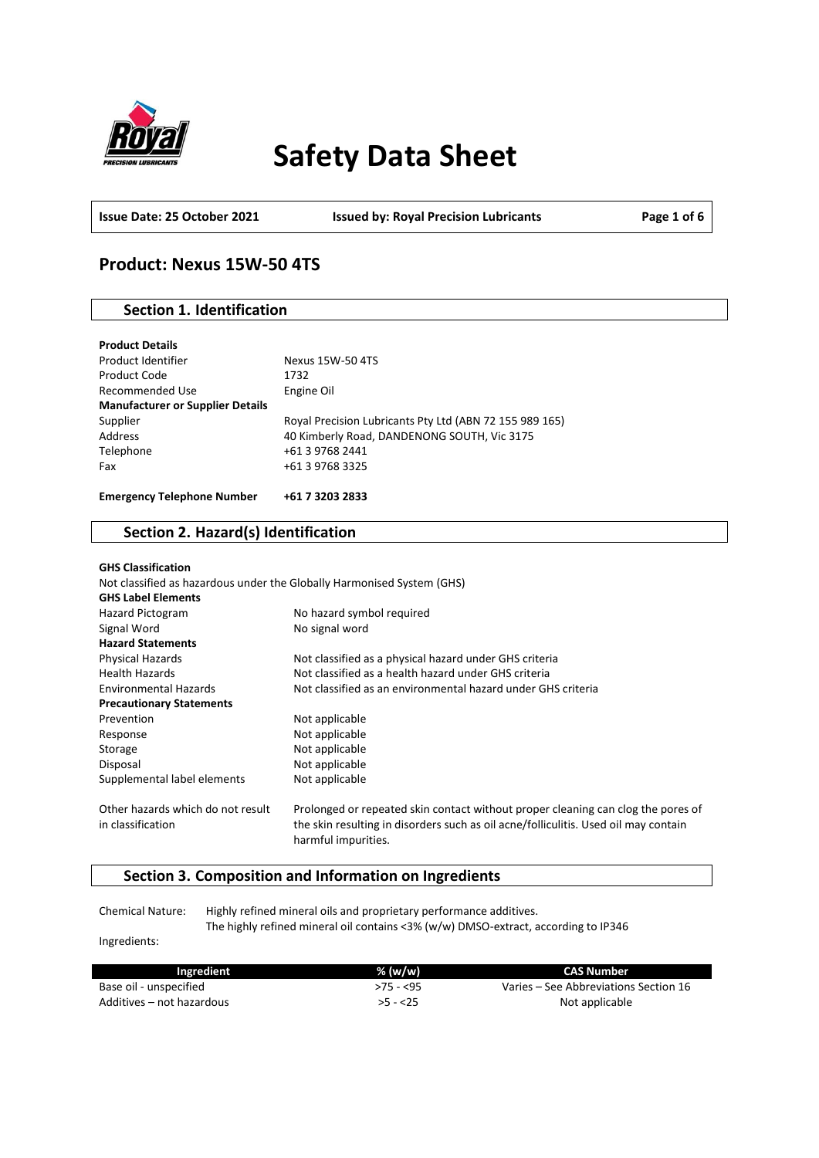

# **Safety Data Sheet**

**Issue Date: 25 October 2021 Issued by: Royal Precision Lubricants Page 1 of 6**

# **Product: Nexus 15W-50 4TS**

### **Section 1. Identification**

| <b>Product Details</b>                  |                                                         |
|-----------------------------------------|---------------------------------------------------------|
| Product Identifier                      | Nexus 15W-50 4TS                                        |
| Product Code                            | 1732                                                    |
| Recommended Use                         | Engine Oil                                              |
| <b>Manufacturer or Supplier Details</b> |                                                         |
| Supplier                                | Royal Precision Lubricants Pty Ltd (ABN 72 155 989 165) |
| Address                                 | 40 Kimberly Road, DANDENONG SOUTH, Vic 3175             |
| Telephone                               | +61 3 9768 2441                                         |
| Fax                                     | +61 3 9768 3325                                         |
| <b>Emergency Telephone Number</b>       | +61 7 3203 2833                                         |

### **Section 2. Hazard(s) Identification**

| <b>GHS Classification</b>         |                                                                                                            |
|-----------------------------------|------------------------------------------------------------------------------------------------------------|
|                                   | Not classified as hazardous under the Globally Harmonised System (GHS)                                     |
| <b>GHS Label Elements</b>         |                                                                                                            |
| Hazard Pictogram                  | No hazard symbol required                                                                                  |
| Signal Word                       | No signal word                                                                                             |
| <b>Hazard Statements</b>          |                                                                                                            |
| Physical Hazards                  | Not classified as a physical hazard under GHS criteria                                                     |
| <b>Health Hazards</b>             | Not classified as a health hazard under GHS criteria                                                       |
| <b>Environmental Hazards</b>      | Not classified as an environmental hazard under GHS criteria                                               |
| <b>Precautionary Statements</b>   |                                                                                                            |
| Prevention                        | Not applicable                                                                                             |
| Response                          | Not applicable                                                                                             |
| Storage                           | Not applicable                                                                                             |
| Disposal                          | Not applicable                                                                                             |
| Supplemental label elements       | Not applicable                                                                                             |
| Other hazards which do not result | Prolonged or repeated skin contact without proper cleaning can clog the pores of                           |
| in classification                 | the skin resulting in disorders such as oil acne/folliculitis. Used oil may contain<br>harmful impurities. |

### **Section 3. Composition and Information on Ingredients**

Chemical Nature: Highly refined mineral oils and proprietary performance additives. The highly refined mineral oil contains <3% (w/w) DMSO-extract, according to IP346

Ingredients:

| Ingredient                | % (w/w)    | CAS Number                            |
|---------------------------|------------|---------------------------------------|
| Base oil - unspecified    | $>75 - 55$ | Varies – See Abbreviations Section 16 |
| Additives – not hazardous | $>5 - 25$  | Not applicable                        |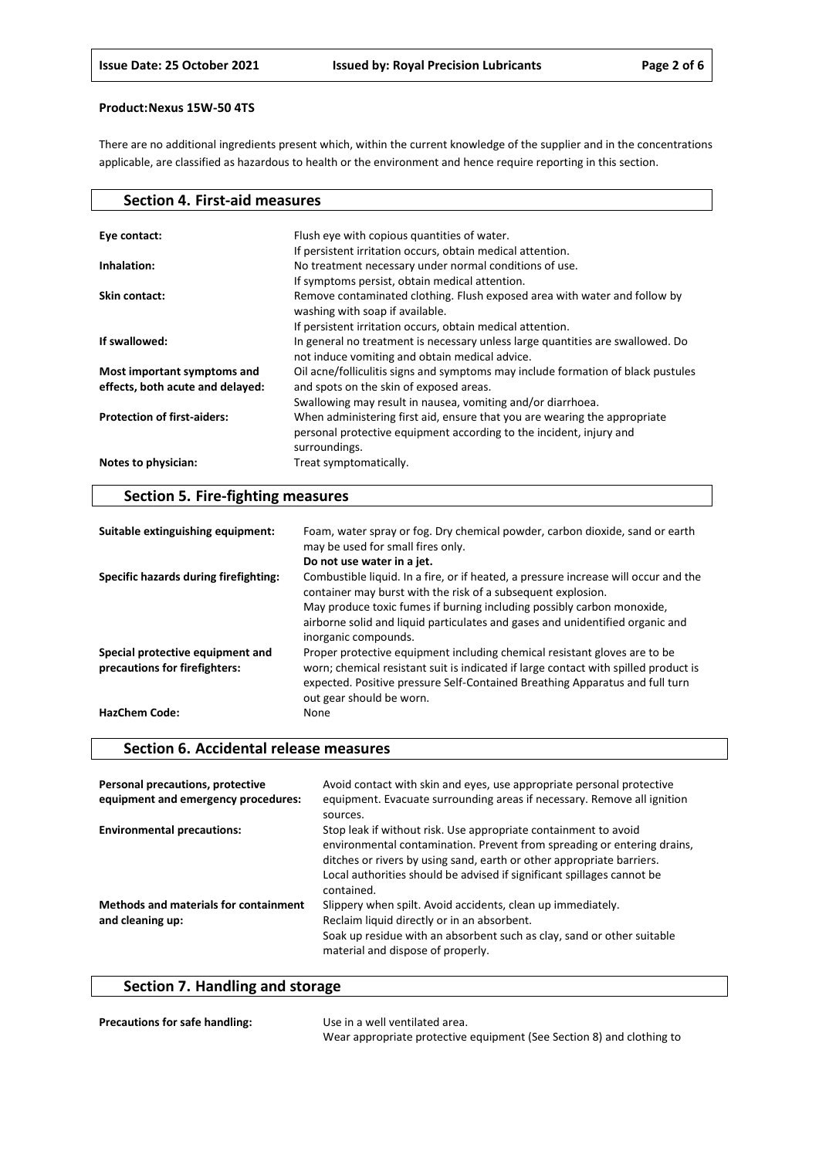There are no additional ingredients present which, within the current knowledge of the supplier and in the concentrations applicable, are classified as hazardous to health or the environment and hence require reporting in this section.

| <b>Section 4. First-aid measures</b> |                                                                                                                                                                   |
|--------------------------------------|-------------------------------------------------------------------------------------------------------------------------------------------------------------------|
|                                      |                                                                                                                                                                   |
| Eye contact:                         | Flush eye with copious quantities of water.                                                                                                                       |
|                                      | If persistent irritation occurs, obtain medical attention.                                                                                                        |
| Inhalation:                          | No treatment necessary under normal conditions of use.                                                                                                            |
|                                      | If symptoms persist, obtain medical attention.                                                                                                                    |
| Skin contact:                        | Remove contaminated clothing. Flush exposed area with water and follow by<br>washing with soap if available.                                                      |
|                                      | If persistent irritation occurs, obtain medical attention.                                                                                                        |
| If swallowed:                        | In general no treatment is necessary unless large quantities are swallowed. Do<br>not induce vomiting and obtain medical advice.                                  |
| Most important symptoms and          | Oil acne/folliculitis signs and symptoms may include formation of black pustules                                                                                  |
| effects, both acute and delayed:     | and spots on the skin of exposed areas.                                                                                                                           |
|                                      | Swallowing may result in nausea, vomiting and/or diarrhoea.                                                                                                       |
| <b>Protection of first-aiders:</b>   | When administering first aid, ensure that you are wearing the appropriate<br>personal protective equipment according to the incident, injury and<br>surroundings. |
| Notes to physician:                  | Treat symptomatically.                                                                                                                                            |

# **Section 5. Fire-fighting measures**

| Suitable extinguishing equipment:                                 | Foam, water spray or fog. Dry chemical powder, carbon dioxide, sand or earth<br>may be used for small fires only.                                                                                                                                                            |
|-------------------------------------------------------------------|------------------------------------------------------------------------------------------------------------------------------------------------------------------------------------------------------------------------------------------------------------------------------|
|                                                                   | Do not use water in a jet.                                                                                                                                                                                                                                                   |
| Specific hazards during firefighting:                             | Combustible liquid. In a fire, or if heated, a pressure increase will occur and the<br>container may burst with the risk of a subsequent explosion.                                                                                                                          |
|                                                                   | May produce toxic fumes if burning including possibly carbon monoxide,<br>airborne solid and liquid particulates and gases and unidentified organic and<br>inorganic compounds.                                                                                              |
| Special protective equipment and<br>precautions for firefighters: | Proper protective equipment including chemical resistant gloves are to be<br>worn; chemical resistant suit is indicated if large contact with spilled product is<br>expected. Positive pressure Self-Contained Breathing Apparatus and full turn<br>out gear should be worn. |
| <b>HazChem Code:</b>                                              | None                                                                                                                                                                                                                                                                         |

### **Section 6. Accidental release measures**

| Personal precautions, protective<br>equipment and emergency procedures: | Avoid contact with skin and eyes, use appropriate personal protective<br>equipment. Evacuate surrounding areas if necessary. Remove all ignition<br>sources.                                                                                                                                                |
|-------------------------------------------------------------------------|-------------------------------------------------------------------------------------------------------------------------------------------------------------------------------------------------------------------------------------------------------------------------------------------------------------|
| <b>Environmental precautions:</b>                                       | Stop leak if without risk. Use appropriate containment to avoid<br>environmental contamination. Prevent from spreading or entering drains,<br>ditches or rivers by using sand, earth or other appropriate barriers.<br>Local authorities should be advised if significant spillages cannot be<br>contained. |
| <b>Methods and materials for containment</b><br>and cleaning up:        | Slippery when spilt. Avoid accidents, clean up immediately.<br>Reclaim liquid directly or in an absorbent.<br>Soak up residue with an absorbent such as clay, sand or other suitable<br>material and dispose of properly.                                                                                   |

# **Section 7. Handling and storage**

| <b>Precautions for safe handling:</b> | Use in a well ventilated area.                                        |
|---------------------------------------|-----------------------------------------------------------------------|
|                                       | Wear appropriate protective equipment (See Section 8) and clothing to |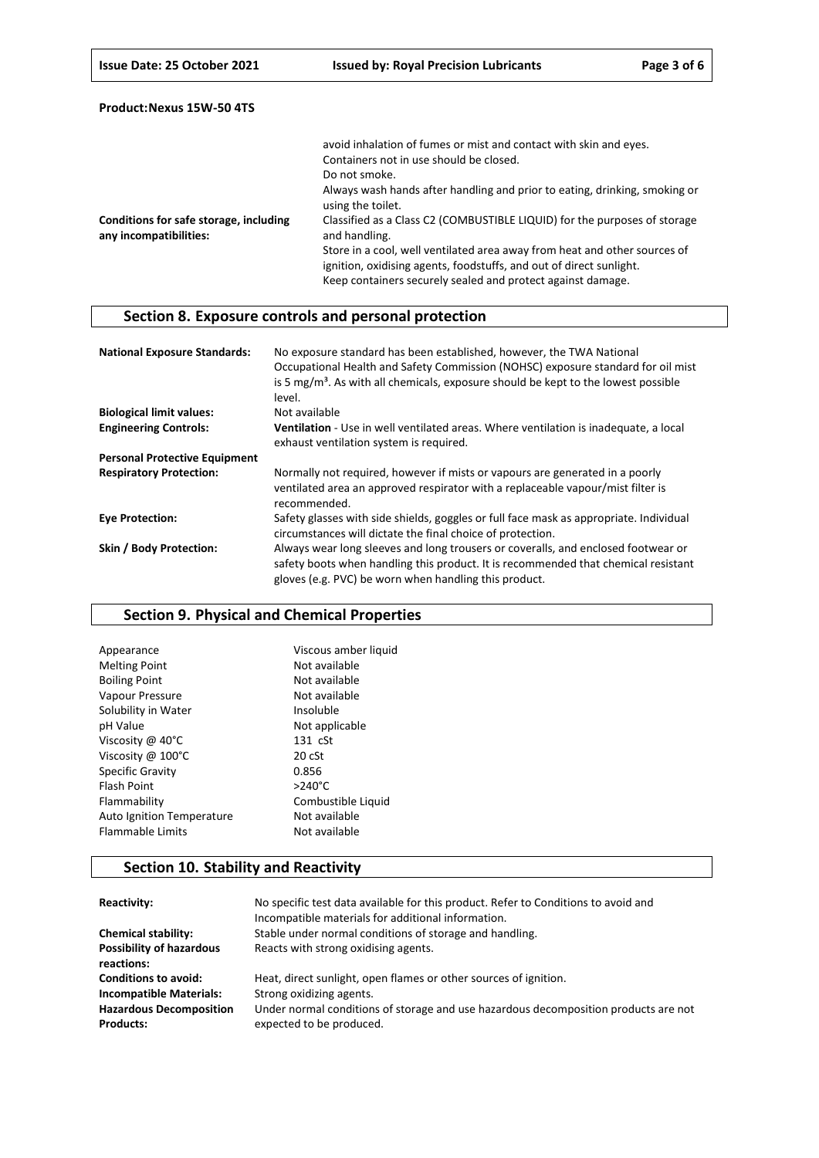|                                                                  | avoid inhalation of fumes or mist and contact with skin and eyes.                                                                                                                                               |
|------------------------------------------------------------------|-----------------------------------------------------------------------------------------------------------------------------------------------------------------------------------------------------------------|
|                                                                  | Containers not in use should be closed.                                                                                                                                                                         |
|                                                                  | Do not smoke.                                                                                                                                                                                                   |
|                                                                  | Always wash hands after handling and prior to eating, drinking, smoking or<br>using the toilet.                                                                                                                 |
| Conditions for safe storage, including<br>any incompatibilities: | Classified as a Class C2 (COMBUSTIBLE LIQUID) for the purposes of storage<br>and handling.                                                                                                                      |
|                                                                  | Store in a cool, well ventilated area away from heat and other sources of<br>ignition, oxidising agents, foodstuffs, and out of direct sunlight.<br>Keep containers securely sealed and protect against damage. |

# **Section 8. Exposure controls and personal protection**

| <b>National Exposure Standards:</b>  | No exposure standard has been established, however, the TWA National<br>Occupational Health and Safety Commission (NOHSC) exposure standard for oil mist<br>is 5 mg/m <sup>3</sup> . As with all chemicals, exposure should be kept to the lowest possible<br>level. |
|--------------------------------------|----------------------------------------------------------------------------------------------------------------------------------------------------------------------------------------------------------------------------------------------------------------------|
| <b>Biological limit values:</b>      | Not available                                                                                                                                                                                                                                                        |
| <b>Engineering Controls:</b>         | Ventilation - Use in well ventilated areas. Where ventilation is inadequate, a local<br>exhaust ventilation system is required.                                                                                                                                      |
| <b>Personal Protective Equipment</b> |                                                                                                                                                                                                                                                                      |
| <b>Respiratory Protection:</b>       | Normally not required, however if mists or vapours are generated in a poorly<br>ventilated area an approved respirator with a replaceable vapour/mist filter is<br>recommended.                                                                                      |
| <b>Eye Protection:</b>               | Safety glasses with side shields, goggles or full face mask as appropriate. Individual<br>circumstances will dictate the final choice of protection.                                                                                                                 |
| Skin / Body Protection:              | Always wear long sleeves and long trousers or coveralls, and enclosed footwear or<br>safety boots when handling this product. It is recommended that chemical resistant<br>gloves (e.g. PVC) be worn when handling this product.                                     |

# **Section 9. Physical and Chemical Properties**

| Viscous amber liquid |
|----------------------|
| Not available        |
| Not available        |
| Not available        |
| Insoluble            |
| Not applicable       |
| $131 \text{ cSt}$    |
| 20 cSt               |
| 0.856                |
| $>240^{\circ}$ C     |
| Combustible Liquid   |
| Not available        |
| Not available        |
|                      |

# **Section 10. Stability and Reactivity**

| Reactivity:                                        | No specific test data available for this product. Refer to Conditions to avoid and<br>Incompatible materials for additional information. |
|----------------------------------------------------|------------------------------------------------------------------------------------------------------------------------------------------|
| <b>Chemical stability:</b>                         | Stable under normal conditions of storage and handling.                                                                                  |
| <b>Possibility of hazardous</b><br>reactions:      | Reacts with strong oxidising agents.                                                                                                     |
| <b>Conditions to avoid:</b>                        | Heat, direct sunlight, open flames or other sources of ignition.                                                                         |
| <b>Incompatible Materials:</b>                     | Strong oxidizing agents.                                                                                                                 |
| <b>Hazardous Decomposition</b><br><b>Products:</b> | Under normal conditions of storage and use hazardous decomposition products are not<br>expected to be produced.                          |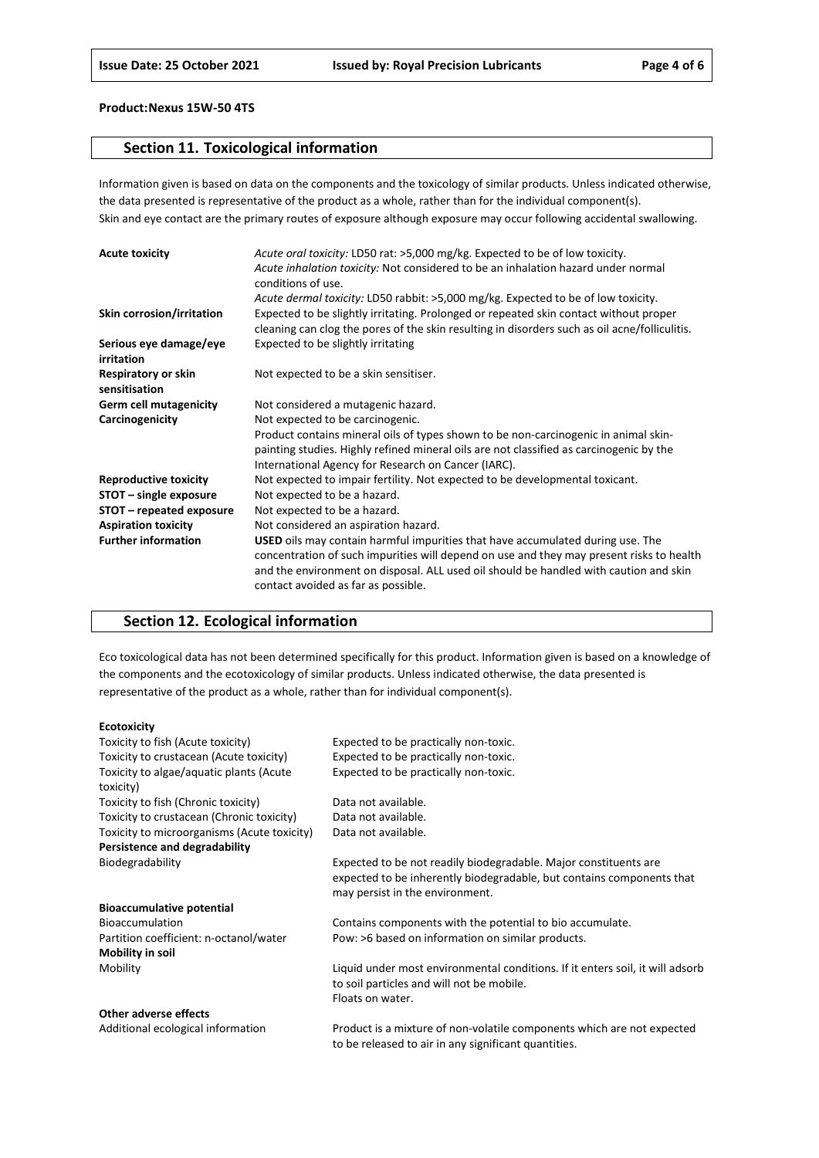### **Section 11. Toxicological information**

Information given is based on data on the components and the toxicology of similar products. Unless indicated otherwise, the data presented is representative of the product as a whole, rather than for the individual component(s). Skin and eye contact are the primary routes of exposure although exposure may occur following accidental swallowing.

| <b>Acute toxicity</b>                | Acute oral toxicity: LD50 rat: >5,000 mg/kg. Expected to be of low toxicity.<br>Acute inhalation toxicity: Not considered to be an inhalation hazard under normal<br>conditions of use.                                                                                                                    |
|--------------------------------------|------------------------------------------------------------------------------------------------------------------------------------------------------------------------------------------------------------------------------------------------------------------------------------------------------------|
|                                      | Acute dermal toxicity: LD50 rabbit: >5,000 mg/kg. Expected to be of low toxicity.                                                                                                                                                                                                                          |
| Skin corrosion/irritation            | Expected to be slightly irritating. Prolonged or repeated skin contact without proper<br>cleaning can clog the pores of the skin resulting in disorders such as oil acne/folliculitis.                                                                                                                     |
| Serious eye damage/eye<br>irritation | Expected to be slightly irritating                                                                                                                                                                                                                                                                         |
| Respiratory or skin<br>sensitisation | Not expected to be a skin sensitiser.                                                                                                                                                                                                                                                                      |
| <b>Germ cell mutagenicity</b>        | Not considered a mutagenic hazard.                                                                                                                                                                                                                                                                         |
| Carcinogenicity                      | Not expected to be carcinogenic.                                                                                                                                                                                                                                                                           |
|                                      | Product contains mineral oils of types shown to be non-carcinogenic in animal skin-                                                                                                                                                                                                                        |
|                                      | painting studies. Highly refined mineral oils are not classified as carcinogenic by the                                                                                                                                                                                                                    |
|                                      | International Agency for Research on Cancer (IARC).                                                                                                                                                                                                                                                        |
| <b>Reproductive toxicity</b>         | Not expected to impair fertility. Not expected to be developmental toxicant.                                                                                                                                                                                                                               |
| STOT - single exposure               | Not expected to be a hazard.                                                                                                                                                                                                                                                                               |
| STOT – repeated exposure             | Not expected to be a hazard.                                                                                                                                                                                                                                                                               |
| <b>Aspiration toxicity</b>           | Not considered an aspiration hazard.                                                                                                                                                                                                                                                                       |
| <b>Further information</b>           | USED oils may contain harmful impurities that have accumulated during use. The<br>concentration of such impurities will depend on use and they may present risks to health<br>and the environment on disposal. ALL used oil should be handled with caution and skin<br>contact avoided as far as possible. |

### **Section 12. Ecological information**

Eco toxicological data has not been determined specifically for this product. Information given is based on a knowledge of the components and the ecotoxicology of similar products. Unless indicated otherwise, the data presented is representative of the product as a whole, rather than for individual component(s).

#### **Ecotoxicity**

| Toxicity to fish (Acute toxicity)                    | Expected to be practically non-toxic.                                                                                                                                        |
|------------------------------------------------------|------------------------------------------------------------------------------------------------------------------------------------------------------------------------------|
| Toxicity to crustacean (Acute toxicity)              | Expected to be practically non-toxic.                                                                                                                                        |
| Toxicity to algae/aquatic plants (Acute<br>toxicity) | Expected to be practically non-toxic.                                                                                                                                        |
| Toxicity to fish (Chronic toxicity)                  | Data not available.                                                                                                                                                          |
| Toxicity to crustacean (Chronic toxicity)            | Data not available.                                                                                                                                                          |
| Toxicity to microorganisms (Acute toxicity)          | Data not available.                                                                                                                                                          |
| Persistence and degradability                        |                                                                                                                                                                              |
| Biodegradability                                     | Expected to be not readily biodegradable. Major constituents are<br>expected to be inherently biodegradable, but contains components that<br>may persist in the environment. |
| <b>Bioaccumulative potential</b>                     |                                                                                                                                                                              |
| <b>Bioaccumulation</b>                               | Contains components with the potential to bio accumulate.                                                                                                                    |
| Partition coefficient: n-octanol/water               | Pow: >6 based on information on similar products.                                                                                                                            |
| Mobility in soil                                     |                                                                                                                                                                              |
| Mobility                                             | Liquid under most environmental conditions. If it enters soil, it will adsorb                                                                                                |
|                                                      | to soil particles and will not be mobile.                                                                                                                                    |
|                                                      | Floats on water.                                                                                                                                                             |
| Other adverse effects                                |                                                                                                                                                                              |
| Additional ecological information                    | <b>Droduct is a mixture of non-volatile components which are not expected</b>                                                                                                |

Additional ecological information Product is a mixture of non-volatile components which are not expected to be released to air in any significant quantities.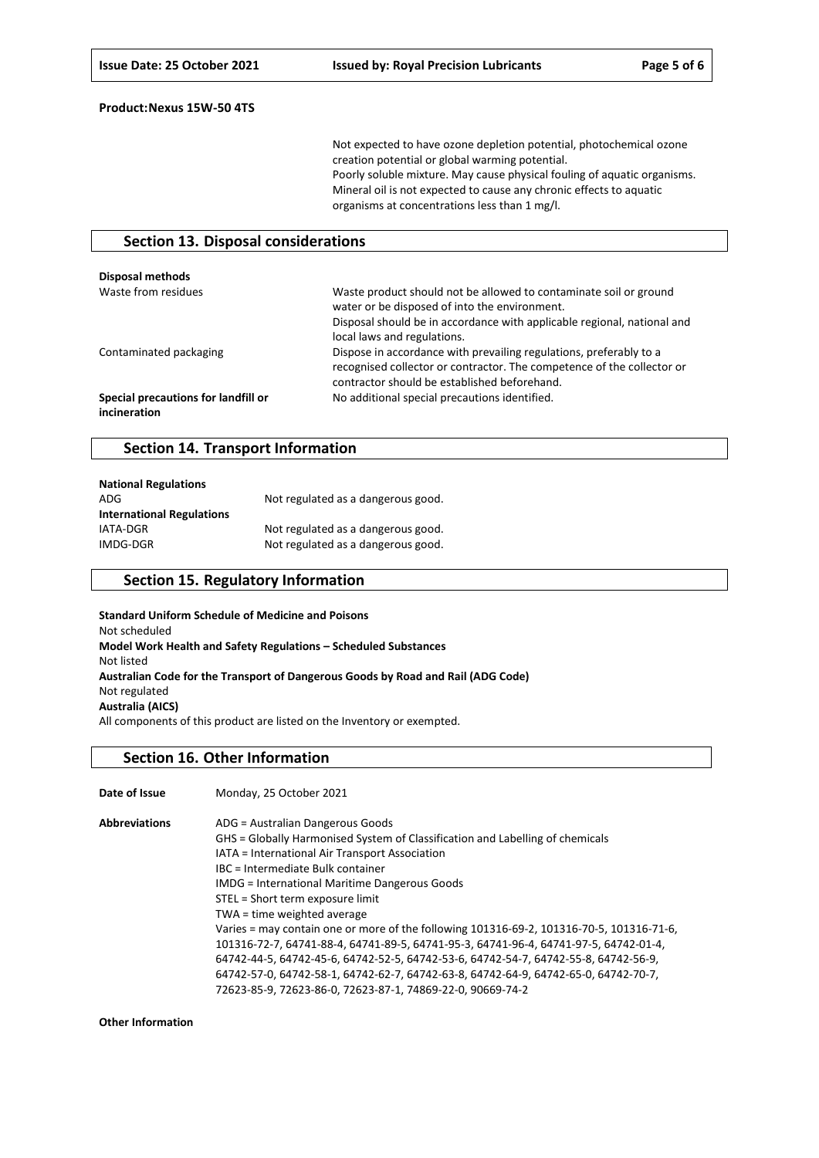Not expected to have ozone depletion potential, photochemical ozone creation potential or global warming potential. Poorly soluble mixture. May cause physical fouling of aquatic organisms. Mineral oil is not expected to cause any chronic effects to aquatic organisms at concentrations less than 1 mg/l.

### **Section 13. Disposal considerations**

| <b>Disposal methods</b>                             |                                                                                                                                                                                                                              |
|-----------------------------------------------------|------------------------------------------------------------------------------------------------------------------------------------------------------------------------------------------------------------------------------|
| Waste from residues                                 | Waste product should not be allowed to contaminate soil or ground<br>water or be disposed of into the environment.<br>Disposal should be in accordance with applicable regional, national and<br>local laws and regulations. |
| Contaminated packaging                              | Dispose in accordance with prevailing regulations, preferably to a<br>recognised collector or contractor. The competence of the collector or<br>contractor should be established beforehand.                                 |
| Special precautions for landfill or<br>incineration | No additional special precautions identified.                                                                                                                                                                                |

### **Section 14. Transport Information**

| <b>National Regulations</b>      |                                    |
|----------------------------------|------------------------------------|
| ADG                              | Not regulated as a dangerous good. |
| <b>International Regulations</b> |                                    |
| IATA-DGR                         | Not regulated as a dangerous good. |
| IMDG-DGR                         | Not regulated as a dangerous good. |

### **Section 15. Regulatory Information**

**Standard Uniform Schedule of Medicine and Poisons** Not scheduled **Model Work Health and Safety Regulations – Scheduled Substances** Not listed **Australian Code for the Transport of Dangerous Goods by Road and Rail (ADG Code)** Not regulated **Australia (AICS)** All components of this product are listed on the Inventory or exempted.

#### **Section 16. Other Information**

| Date of Issue        | Monday, 25 October 2021                                                                  |
|----------------------|------------------------------------------------------------------------------------------|
| <b>Abbreviations</b> | ADG = Australian Dangerous Goods                                                         |
|                      | GHS = Globally Harmonised System of Classification and Labelling of chemicals            |
|                      | IATA = International Air Transport Association                                           |
|                      | IBC = Intermediate Bulk container                                                        |
|                      | <b>IMDG</b> = International Maritime Dangerous Goods                                     |
|                      | STEL = Short term exposure limit                                                         |
|                      | TWA = time weighted average                                                              |
|                      | Varies = may contain one or more of the following 101316-69-2, 101316-70-5, 101316-71-6, |
|                      | 101316-72-7, 64741-88-4, 64741-89-5, 64741-95-3, 64741-96-4, 64741-97-5, 64742-01-4,     |
|                      | 64742-44-5, 64742-45-6, 64742-52-5, 64742-53-6, 64742-54-7, 64742-55-8, 64742-56-9,      |
|                      | 64742-57-0, 64742-58-1, 64742-62-7, 64742-63-8, 64742-64-9, 64742-65-0, 64742-70-7,      |
|                      | 72623-85-9, 72623-86-0, 72623-87-1, 74869-22-0, 90669-74-2                               |

**Other Information**